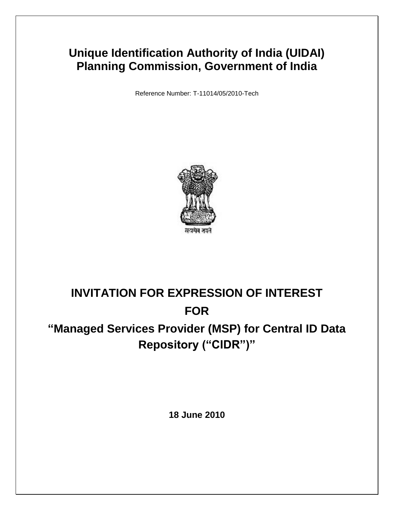# **Unique Identification Authority of India (UIDAI) Planning Commission, Government of India**

Reference Number: T-11014/05/2010-Tech



# **INVITATION FOR EXPRESSION OF INTEREST FOR**

# **"Managed Services Provider (MSP) for Central ID Data Repository ("CIDR")"**

**18 June 2010**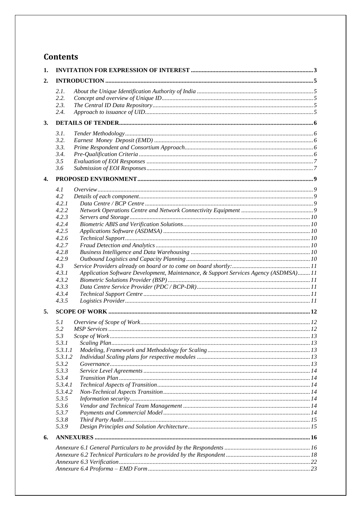# **Contents**

| 1. |                |                                                                                     |  |  |
|----|----------------|-------------------------------------------------------------------------------------|--|--|
| 2. |                |                                                                                     |  |  |
|    | 2.1.           |                                                                                     |  |  |
|    | 2.2.           |                                                                                     |  |  |
|    | 2.3.           |                                                                                     |  |  |
|    | 2.4.           |                                                                                     |  |  |
| 3. |                |                                                                                     |  |  |
|    | 3.1.           |                                                                                     |  |  |
|    | 3.2.           |                                                                                     |  |  |
|    | 3.3.           |                                                                                     |  |  |
|    | 3.4.           |                                                                                     |  |  |
|    | 3.5            |                                                                                     |  |  |
|    | 3.6            |                                                                                     |  |  |
| 4. |                |                                                                                     |  |  |
|    | 4.1            |                                                                                     |  |  |
|    | 4.2            |                                                                                     |  |  |
|    | 4.2.1          |                                                                                     |  |  |
|    | 4.2.2          |                                                                                     |  |  |
|    | 4.2.3          |                                                                                     |  |  |
|    | 4.2.4          |                                                                                     |  |  |
|    | 4.2.5          |                                                                                     |  |  |
|    | 4.2.6          |                                                                                     |  |  |
|    | 4.2.7          |                                                                                     |  |  |
|    | 4.2.8          |                                                                                     |  |  |
|    | 4.2.9          |                                                                                     |  |  |
|    | 4.3            |                                                                                     |  |  |
|    | 4.3.1          | Application Software Development, Maintenance, & Support Services Agency (ASDMSA)11 |  |  |
|    | 4.3.2          |                                                                                     |  |  |
|    | 4.3.3          |                                                                                     |  |  |
|    | 4.3.4          |                                                                                     |  |  |
|    | 4.3.5          |                                                                                     |  |  |
|    |                |                                                                                     |  |  |
| 5. |                |                                                                                     |  |  |
|    | 5.1            |                                                                                     |  |  |
|    | 5.2            |                                                                                     |  |  |
|    | 5.3            | Scope of Work.                                                                      |  |  |
|    | 5.3.1          |                                                                                     |  |  |
|    | 5.3.1.1        |                                                                                     |  |  |
|    | 5.3.1.2        |                                                                                     |  |  |
|    | 5.3.2          |                                                                                     |  |  |
|    | 5.3.3          |                                                                                     |  |  |
|    | 5.3.4          |                                                                                     |  |  |
|    | 5.3.4.1        |                                                                                     |  |  |
|    | 5.3.4.2        |                                                                                     |  |  |
|    | 5.3.5          |                                                                                     |  |  |
|    | 5.3.6          |                                                                                     |  |  |
|    | 5.3.7          |                                                                                     |  |  |
|    | 5.3.8<br>5.3.9 |                                                                                     |  |  |
|    |                |                                                                                     |  |  |
| 6. |                |                                                                                     |  |  |
|    |                |                                                                                     |  |  |
|    |                |                                                                                     |  |  |
|    |                |                                                                                     |  |  |
|    |                |                                                                                     |  |  |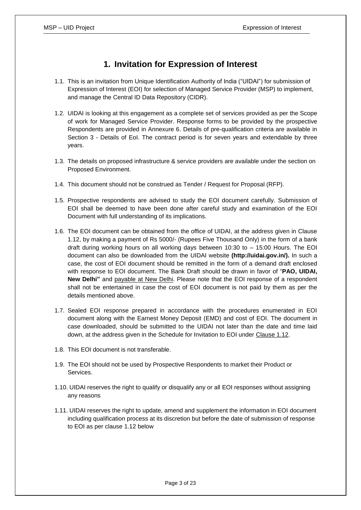# **1. Invitation for Expression of Interest**

- <span id="page-2-0"></span>1.1. This is an invitation from Unique Identification Authority of India ("UIDAI") for submission of Expression of Interest (EOI) for selection of Managed Service Provider (MSP) to implement, and manage the Central ID Data Repository (CIDR).
- 1.2. UIDAI is looking at this engagement as a complete set of services provided as per the Scope of work for Managed Service Provider. Response forms to be provided by the prospective Respondents are provided in Annexure [6.](#page-15-0) Details of pre-qualification criteria are available in Section [3](#page-5-0) - Details of EoI. The contract period is for seven years and extendable by three years.
- 1.3. The details on proposed infrastructure & service providers are available under the section on Proposed Environment.
- 1.4. This document should not be construed as Tender / Request for Proposal (RFP).
- 1.5. Prospective respondents are advised to study the EOI document carefully. Submission of EOI shall be deemed to have been done after careful study and examination of the EOI Document with full understanding of its implications.
- 1.6. The EOI document can be obtained from the office of UIDAI, at the address given in Clause [1.12,](#page-3-0) by making a payment of Rs 5000/- (Rupees Five Thousand Only) in the form of a bank draft during working hours on all working days between 10:30 to – 15:00 Hours. The EOI document can also be downloaded from the UIDAI website **(http://uidai.gov.in/).** In such a case, the cost of EOI document should be remitted in the form of a demand draft enclosed with response to EOI document. The Bank Draft should be drawn in favor of "**PAO, UIDAI,**  New Delhi" and payable at New Delhi. Please note that the EOI response of a respondent shall not be entertained in case the cost of EOI document is not paid by them as per the details mentioned above.
- 1.7. Sealed EOI response prepared in accordance with the procedures enumerated in EOI document along with the Earnest Money Deposit (EMD) and cost of EOI. The document in case downloaded, should be submitted to the UIDAI not later than the date and time laid down, at the address given in the Schedule for Invitation to EOI under Clause [1.12.](#page-3-0)
- 1.8. This EOI document is not transferable.
- 1.9. The EOI should not be used by Prospective Respondents to market their Product or Services.
- 1.10. UIDAI reserves the right to qualify or disqualify any or all EOI responses without assigning any reasons
- 1.11. UIDAI reserves the right to update, amend and supplement the information in EOI document including qualification process at its discretion but before the date of submission of response to EOI as per clause [1.12](#page-3-0) below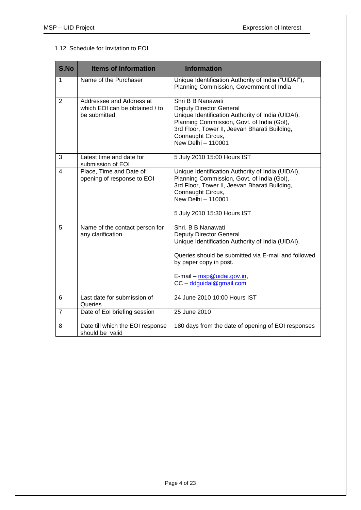#### <span id="page-3-0"></span>1.12. Schedule for Invitation to EOI

| S.No           | <b>Items of Information</b>                                                | <b>Information</b>                                                                                                                                                                                                                                    |
|----------------|----------------------------------------------------------------------------|-------------------------------------------------------------------------------------------------------------------------------------------------------------------------------------------------------------------------------------------------------|
| $\mathbf{1}$   | Name of the Purchaser                                                      | Unique Identification Authority of India ("UIDAI"),<br>Planning Commission, Government of India                                                                                                                                                       |
| $\overline{2}$ | Addressee and Address at<br>which EOI can be obtained / to<br>be submitted | Shri B B Nanawati<br><b>Deputy Director General</b><br>Unique Identification Authority of India (UIDAI),<br>Planning Commission, Govt. of India (Gol),<br>3rd Floor, Tower II, Jeevan Bharati Building,<br>Connaught Circus,<br>New Delhi - 110001    |
| 3              | Latest time and date for<br>submission of EOI                              | 5 July 2010 15:00 Hours IST                                                                                                                                                                                                                           |
| $\overline{4}$ | Place, Time and Date of<br>opening of response to EOI                      | Unique Identification Authority of India (UIDAI),<br>Planning Commission, Govt. of India (Gol),<br>3rd Floor, Tower II, Jeevan Bharati Building,<br>Connaught Circus,<br>New Delhi - 110001<br>5 July 2010 15:30 Hours IST                            |
| 5              | Name of the contact person for<br>any clarification                        | Shri, B B Nanawati<br><b>Deputy Director General</b><br>Unique Identification Authority of India (UIDAI),<br>Queries should be submitted via E-mail and followed<br>by paper copy in post.<br>E-mail $-$ msp@uidai.gov.in,<br>CC - ddguidai@gmail.com |
| 6              | Last date for submission of<br>Queries                                     | 24 June 2010 10:00 Hours IST                                                                                                                                                                                                                          |
| $\overline{7}$ | Date of Eol briefing session                                               | 25 June 2010                                                                                                                                                                                                                                          |
| 8              | Date till which the EOI response<br>should be valid                        | 180 days from the date of opening of EOI responses                                                                                                                                                                                                    |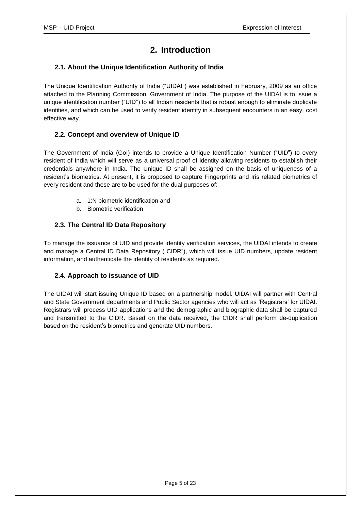# **2. Introduction**

# <span id="page-4-1"></span><span id="page-4-0"></span>**2.1. About the Unique Identification Authority of India**

The Unique Identification Authority of India ("UIDAI") was established in February, 2009 as an office attached to the Planning Commission, Government of India. The purpose of the UIDAI is to issue a unique identification number ("UID") to all Indian residents that is robust enough to eliminate duplicate identities, and which can be used to verify resident identity in subsequent encounters in an easy, cost effective way.

# <span id="page-4-2"></span>**2.2. Concept and overview of Unique ID**

The Government of India (GoI) intends to provide a Unique Identification Number ("UID") to every resident of India which will serve as a universal proof of identity allowing residents to establish their credentials anywhere in India. The Unique ID shall be assigned on the basis of uniqueness of a resident"s biometrics. At present, it is proposed to capture Fingerprints and Iris related biometrics of every resident and these are to be used for the dual purposes of:

- a. 1:N biometric identification and
- b. Biometric verification

# <span id="page-4-3"></span>**2.3. The Central ID Data Repository**

To manage the issuance of UID and provide identity verification services, the UIDAI intends to create and manage a Central ID Data Repository ("CIDR"), which will issue UID numbers, update resident information, and authenticate the identity of residents as required.

## <span id="page-4-4"></span>**2.4. Approach to issuance of UID**

The UIDAI will start issuing Unique ID based on a partnership model. UIDAI will partner with Central and State Government departments and Public Sector agencies who will act as "Registrars" for UIDAI. Registrars will process UID applications and the demographic and biographic data shall be captured and transmitted to the CIDR. Based on the data received, the CIDR shall perform de-duplication based on the resident"s biometrics and generate UID numbers.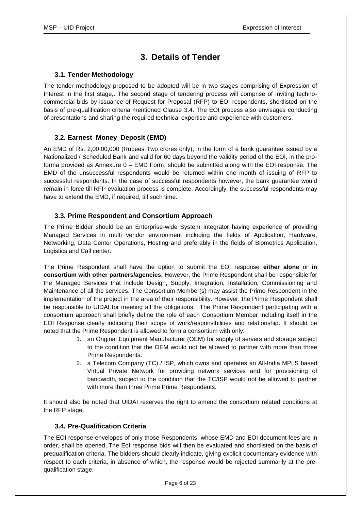# **3. Details of Tender**

## <span id="page-5-0"></span>**3.1. Tender Methodology**

<span id="page-5-1"></span>The tender methodology proposed to be adopted will be in two stages comprising of Expression of Interest in the first stage,. The second stage of tendering process will comprise of inviting technocommercial bids by issuance of Request for Proposal (RFP) to EOI respondents, shortlisted on the basis of pre-qualification criteria mentioned Clause [3.4.](#page-5-4) The EOI process also envisages conducting of presentations and sharing the required technical expertise and experience with customers.

# **3.2. Earnest Money Deposit (EMD)**

<span id="page-5-2"></span>An EMD of Rs. 2,00,00,000 (Rupees Two crores only), in the form of a bank guarantee issued by a Nationalized / Scheduled Bank and valid for 60 days beyond the validity period of the EOI, in the proforma provided as Annexure [0](#page-22-0) – EMD Form, should be submitted along with the EOI response. The EMD of the unsuccessful respondents would be returned within one month of issuing of RFP to successful respondents. In the case of successful respondents however, the bank guarantee would remain in force till RFP evaluation process is complete. Accordingly, the successful respondents may have to extend the EMD, if required, till such time.

## **3.3. Prime Respondent and Consortium Approach**

<span id="page-5-3"></span>The Prime Bidder should be an Enterprise-wide System Integrator having experience of providing Managed Services in multi vendor environment including the fields of Application, Hardware, Networking, Data Center Operations, Hosting and preferably in the fields of Biometrics Application, Logistics and Call center.

The Prime Respondent shall have the option to submit the EOI response **either alone** or **in consortium with other partners/agencies.** However, the Prime Respondent shall be responsible for the Managed Services that include Design, Supply, Integration, Installation, Commissioning and Maintenance of all the services. The Consortium Member(s) may assist the Prime Respondent in the implementation of the project in the area of their responsibility. However, the Prime Respondent shall be responsible to UIDAI for meeting all the obligations. The Prime Respondent participating with a consortium approach shall briefly define the role of each Consortium Member including itself in the EOI Response clearly indicating their scope of work/responsibilities and relationship. It should be noted that the Prime Respondent is allowed to form a consortium with only:

- 1. an Original Equipment Manufacturer (OEM) for supply of servers and storage subject to the condition that the OEM would not be allowed to partner with more than three Prime Respondents.
- 2. a Telecom Company (TC) / ISP, which owns and operates an All-India MPLS based Virtual Private Network for providing network services and for provisioning of bandwidth, subject to the condition that the TC/ISP would not be allowed to partner with more than three Prime Prime Respondents.

It should also be noted that UIDAI reserves the right to amend the consortium related conditions at the RFP stage.

## **3.4. Pre-Qualification Criteria**

<span id="page-5-4"></span>The EOI response envelopes of only those Respondents, whose EMD and EOI document fees are in order, shall be opened..The EoI response bids will then be evaluated and shortlisted on the basis of prequalification criteria. The bidders should clearly indicate, giving explicit documentary evidence with respect to each criteria, in absence of which, the response would be rejected summarily at the prequalification stage.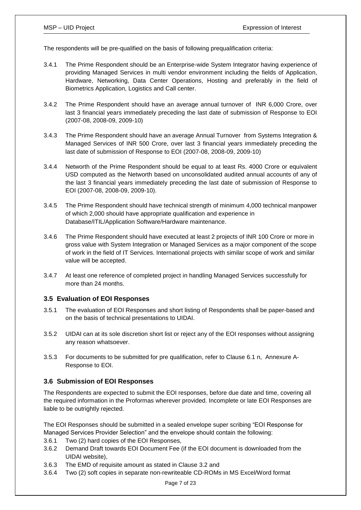The respondents will be pre-qualified on the basis of following prequalification criteria:

- 3.4.1 The Prime Respondent should be an Enterprise-wide System Integrator having experience of providing Managed Services in multi vendor environment including the fields of Application, Hardware, Networking, Data Center Operations, Hosting and preferably in the field of Biometrics Application, Logistics and Call center.
- 3.4.2 The Prime Respondent should have an average annual turnover of INR 6,000 Crore, over last 3 financial years immediately preceding the last date of submission of Response to EOI (2007-08, 2008-09, 2009-10)
- 3.4.3 The Prime Respondent should have an average Annual Turnover from Systems Integration & Managed Services of INR 500 Crore, over last 3 financial years immediately preceding the last date of submission of Response to EOI (2007-08, 2008-09, 2009-10)
- 3.4.4 Networth of the Prime Respondent should be equal to at least Rs. 4000 Crore or equivalent USD computed as the Networth based on unconsolidated audited annual accounts of any of the last 3 financial years immediately preceding the last date of submission of Response to EOI (2007-08, 2008-09, 2009-10).
- 3.4.5 The Prime Respondent should have technical strength of minimum 4,000 technical manpower of which 2,000 should have appropriate qualification and experience in Database/ITIL/Application Software/Hardware maintenance.
- 3.4.6 The Prime Respondent should have executed at least 2 projects of INR 100 Crore or more in gross value with System Integration or Managed Services as a major component of the scope of work in the field of IT Services. International projects with similar scope of work and similar value will be accepted.
- 3.4.7 At least one reference of completed project in handling Managed Services successfully for more than 24 months.

#### <span id="page-6-0"></span>**3.5 Evaluation of EOI Responses**

- 3.5.1 The evaluation of EOI Responses and short listing of Respondents shall be paper-based and on the basis of technical presentations to UIDAI.
- 3.5.2 UIDAI can at its sole discretion short list or reject any of the EOI responses without assigning any reason whatsoever.
- 3.5.3 For documents to be submitted for pre qualification, refer to Clause 6.1 [n,](#page-15-2) Annexure A-Response to EOI.

#### <span id="page-6-1"></span>**3.6 Submission of EOI Responses**

The Respondents are expected to submit the EOI responses, before due date and time, covering all the required information in the Proformas wherever provided. Incomplete or late EOI Responses are liable to be outrightly rejected.

The EOI Responses should be submitted in a sealed envelope super scribing "EOI Response for Managed Services Provider Selection" and the envelope should contain the following:

- 3.6.1 Two (2) hard copies of the EOI Responses,
- 3.6.2 Demand Draft towards EOI Document Fee (if the EOI document is downloaded from the UIDAI website),
- 3.6.3 The EMD of requisite amount as stated in Clause [3.2](#page-5-2) and
- 3.6.4 Two (2) soft copies in separate non-rewriteable CD-ROMs in MS Excel/Word format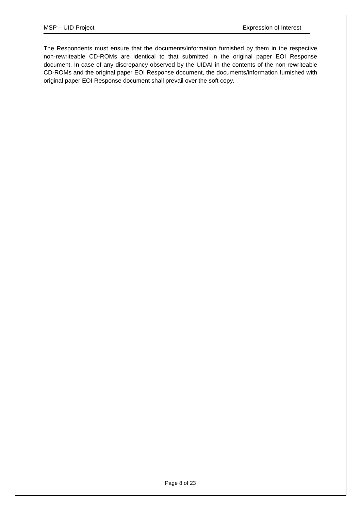The Respondents must ensure that the documents/information furnished by them in the respective non-rewriteable CD-ROMs are identical to that submitted in the original paper EOI Response document. In case of any discrepancy observed by the UIDAI in the contents of the non-rewriteable CD-ROMs and the original paper EOI Response document, the documents/information furnished with original paper EOI Response document shall prevail over the soft copy.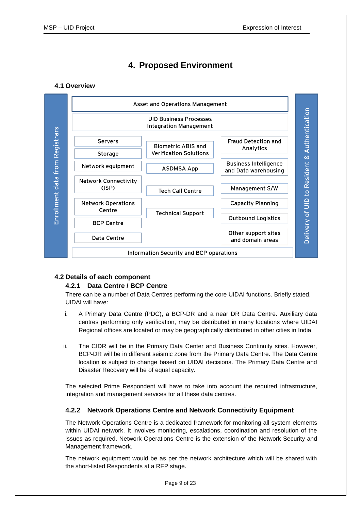# **4. Proposed Environment**

#### <span id="page-8-0"></span>**4.1 Overview**

<span id="page-8-1"></span>

# <span id="page-8-3"></span><span id="page-8-2"></span>**4.2 Details of each component**

# **4.2.1 Data Centre / BCP Centre**

There can be a number of Data Centres performing the core UIDAI functions. Briefly stated, UIDAI will have:

- i. A Primary Data Centre (PDC), a BCP-DR and a near DR Data Centre. Auxiliary data centres performing only verification, may be distributed in many locations where UIDAI Regional offices are located or may be geographically distributed in other cities in India.
- ii. The CIDR will be in the Primary Data Center and Business Continuity sites. However, BCP-DR will be in different seismic zone from the Primary Data Centre. The Data Centre location is subject to change based on UIDAI decisions. The Primary Data Centre and Disaster Recovery will be of equal capacity.

The selected Prime Respondent will have to take into account the required infrastructure, integration and management services for all these data centres.

# <span id="page-8-4"></span>**4.2.2 Network Operations Centre and Network Connectivity Equipment**

The Network Operations Centre is a dedicated framework for monitoring all system elements within UIDAI network. It involves monitoring, escalations, coordination and resolution of the issues as required. Network Operations Centre is the extension of the Network Security and Management framework.

The network equipment would be as per the network architecture which will be shared with the short-listed Respondents at a RFP stage.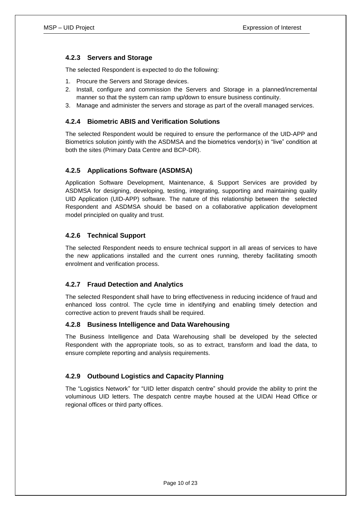#### <span id="page-9-0"></span>**4.2.3 Servers and Storage**

The selected Respondent is expected to do the following:

- 1. Procure the Servers and Storage devices.
- 2. Install, configure and commission the Servers and Storage in a planned/incremental manner so that the system can ramp up/down to ensure business continuity.
- 3. Manage and administer the servers and storage as part of the overall managed services.

#### <span id="page-9-1"></span>**4.2.4 Biometric ABIS and Verification Solutions**

The selected Respondent would be required to ensure the performance of the UID-APP and Biometrics solution jointly with the ASDMSA and the biometrics vendor(s) in "live" condition at both the sites (Primary Data Centre and BCP-DR).

### <span id="page-9-2"></span>**4.2.5 Applications Software (ASDMSA)**

Application Software Development, Maintenance, & Support Services are provided by ASDMSA for designing, developing, testing, integrating, supporting and maintaining quality UID Application (UID-APP) software. The nature of this relationship between the selected Respondent and ASDMSA should be based on a collaborative application development model principled on quality and trust.

### <span id="page-9-3"></span>**4.2.6 Technical Support**

The selected Respondent needs to ensure technical support in all areas of services to have the new applications installed and the current ones running, thereby facilitating smooth enrolment and verification process.

#### <span id="page-9-4"></span>**4.2.7 Fraud Detection and Analytics**

The selected Respondent shall have to bring effectiveness in reducing incidence of fraud and enhanced loss control. The cycle time in identifying and enabling timely detection and corrective action to prevent frauds shall be required.

#### <span id="page-9-5"></span>**4.2.8 Business Intelligence and Data Warehousing**

The Business Intelligence and Data Warehousing shall be developed by the selected Respondent with the appropriate tools, so as to extract, transform and load the data, to ensure complete reporting and analysis requirements.

#### <span id="page-9-6"></span>**4.2.9 Outbound Logistics and Capacity Planning**

The "Logistics Network" for "UID letter dispatch centre" should provide the ability to print the voluminous UID letters. The despatch centre maybe housed at the UIDAI Head Office or regional offices or third party offices.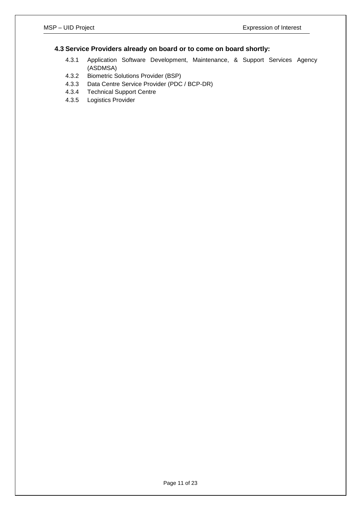# <span id="page-10-1"></span><span id="page-10-0"></span>**4.3 Service Providers already on board or to come on board shortly:**

- 4.3.1 Application Software Development, Maintenance, & Support Services Agency (ASDMSA)
- <span id="page-10-2"></span>4.3.2 Biometric Solutions Provider (BSP)
- <span id="page-10-3"></span>4.3.3 Data Centre Service Provider (PDC / BCP-DR)
- <span id="page-10-4"></span>4.3.4 Technical Support Centre
- <span id="page-10-5"></span>4.3.5 Logistics Provider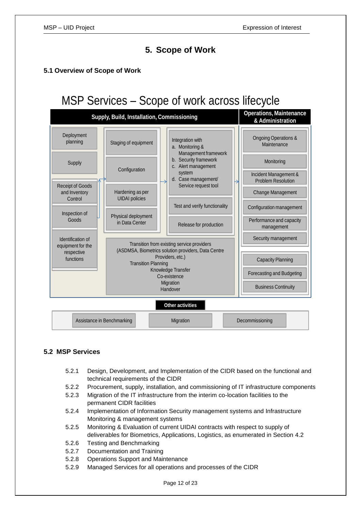# **5. Scope of Work**

# <span id="page-11-1"></span><span id="page-11-0"></span>**5.1 Overview of Scope of Work**

# MSP Services – Scope of work across lifecycle



## <span id="page-11-2"></span>**5.2 MSP Services**

- 5.2.1 Design, Development, and Implementation of the CIDR based on the functional and technical requirements of the CIDR
- 5.2.2 Procurement, supply, installation, and commissioning of IT infrastructure components
- 5.2.3 Migration of the IT infrastructure from the interim co-location facilities to the permanent CIDR facilities
- 5.2.4 Implementation of Information Security management systems and Infrastructure Monitoring & management systems
- 5.2.5 Monitoring & Evaluation of current UIDAI contracts with respect to supply of deliverables for Biometrics, Applications, Logistics, as enumerated in Section [4.2](#page-8-2)
- 5.2.6 Testing and Benchmarking
- 5.2.7 Documentation and Training
- 5.2.8 Operations Support and Maintenance
- 5.2.9 Managed Services for all operations and processes of the CIDR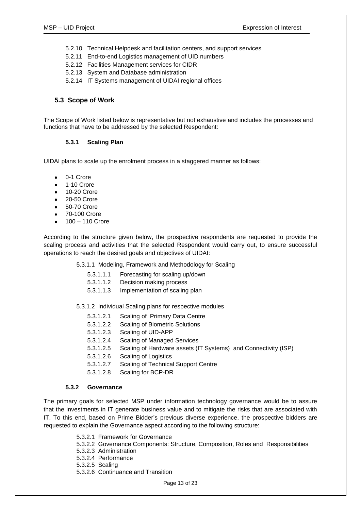- 5.2.10 Technical Helpdesk and facilitation centers, and support services
- 5.2.11 End-to-end Logistics management of UID numbers
- 5.2.12 Facilities Management services for CIDR
- 5.2.13 System and Database administration
- 5.2.14 IT Systems management of UIDAI regional offices

#### <span id="page-12-0"></span>**5.3 Scope of Work**

The Scope of Work listed below is representative but not exhaustive and includes the processes and functions that have to be addressed by the selected Respondent:

#### **5.3.1 Scaling Plan**

<span id="page-12-1"></span>UIDAI plans to scale up the enrolment process in a staggered manner as follows:

- 0-1 Crore
- 1-10 Crore  $\blacksquare$
- 10-20 Crore
- 20-50 Crore
- 50-70 Crore
- 70-100 Crore  $\bullet$
- 100 110 Crore  $\bullet$

<span id="page-12-2"></span>According to the structure given below, the prospective respondents are requested to provide the scaling process and activities that the selected Respondent would carry out, to ensure successful operations to reach the desired goals and objectives of UIDAI:

5.3.1.1 Modeling, Framework and Methodology for Scaling

- 5.3.1.1.1 Forecasting for scaling up/down
- 5.3.1.1.2 Decision making process
- 5.3.1.1.3 Implementation of scaling plan
- <span id="page-12-3"></span>5.3.1.2 Individual Scaling plans for respective modules
	- 5.3.1.2.1 Scaling of Primary Data Centre
	- 5.3.1.2.2 Scaling of Biometric Solutions
	- 5.3.1.2.3 Scaling of UID-APP
	- 5.3.1.2.4 Scaling of Managed Services
	- 5.3.1.2.5 Scaling of Hardware assets (IT Systems) and Connectivity (ISP)
	- 5.3.1.2.6 Scaling of Logistics
	- 5.3.1.2.7 Scaling of Technical Support Centre
	- 5.3.1.2.8 Scaling for BCP-DR

#### **5.3.2 Governance**

<span id="page-12-4"></span>The primary goals for selected MSP under information technology governance would be to assure that the [investments](http://en.wikipedia.org/wiki/Investments) in IT generate [business value](http://en.wikipedia.org/wiki/Business_value) and to mitigate the risks that are associated with IT. To this end, based on Prime Bidder"s previous diverse experience, the prospective bidders are requested to explain the Governance aspect according to the following structure:

- 5.3.2.1 Framework for Governance
- 5.3.2.2 Governance Components: Structure, Composition, Roles and Responsibilities
- 5.3.2.3 Administration
- 5.3.2.4 Performance
- 5.3.2.5 Scaling
- 5.3.2.6 Continuance and Transition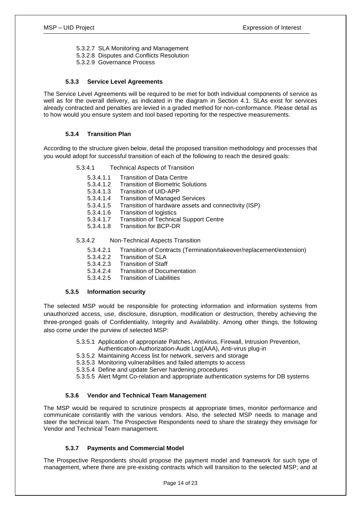- 5.3.2.7 SLA Monitoring and Management
- 5.3.2.8 Disputes and Conflicts Resolution
- 5.3.2.9 Governance Process

#### **5.3.3 Service Level Agreements**

<span id="page-13-0"></span>The Service Level Agreements will be required to be met for both individual components of service as well as for the overall delivery, as indicated in the diagram in Section 4.1. SLAs exist for services already contracted and penalties are levied in a graded method for non-conformance. Please detail as to how would you ensure system and tool based reporting for the respective measurements.

#### **5.3.4 Transition Plan**

<span id="page-13-1"></span>According to the structure given below, detail the proposed transition methodology and processes that you would adopt for successful transition of each of the following to reach the desired goals:

- <span id="page-13-2"></span>5.3.4.1 Technical Aspects of Transition
	- 5.3.4.1.1 Transition of Data Centre<br>5.3.4.1.2 Transition of Biometric Sc 5.3.4.1.2 Transition of Biometric Solutions 5.3.4.1.3 Transition of UID-APP 5.3.4.1.4 Transition of Managed Services 5.3.4.1.5 Transition of hardware assets and connectivity (ISP) 5.3.4.1.6 Transition of logistics 5.3.4.1.7 Transition of Technical Support Centre 5.3.4.1.8 Transition for BCP-DR
	-
- <span id="page-13-3"></span>5.3.4.2 Non-Technical Aspects Transition
	- 5.3.4.2.1 Transition of Contracts (Termination/takeover/replacement/extension)
	- 5.3.4.2.2 Transition of SLA
	- 5.3.4.2.3 Transition of Staff
	- 5.3.4.2.4 Transition of Documentation
	- 5.3.4.2.5 Transition of Liabilities

#### **5.3.5 Information security**

<span id="page-13-4"></span>The selected MSP would be responsible for protecting information and [information systems](http://en.wikipedia.org/wiki/Information_system) from unauthorized access, use, disclosure, disruption, modification or destruction, thereby achieving the three-pronged goals of Confidentiality, Integrity and Availability. Among other things, the following also come under the purview of selected MSP:

- 5.3.5.1 Application of appropriate Patches, Antivirus, Firewall, Intrusion Prevention,
- Authentication-Authorization-Audit Log(AAA), Anti-virus plug-in
- 5.3.5.2 Maintaining Access list for network, servers and storage
- 5.3.5.3 Monitoring vulnerabilities and failed attempts to access
- 5.3.5.4 Define and update Server hardening procedures
- 5.3.5.5 Alert Mgmt Co-relation and appropriate authentication systems for DB systems

#### **5.3.6 Vendor and Technical Team Management**

<span id="page-13-5"></span>The MSP would be required to scrutinize prospects at appropriate times, monitor performance and communicate constantly with the various vendors. Also, the selected MSP needs to manage and steer the technical team. The Prospective Respondents need to share the strategy they envisage for Vendor and Technical Team management.

#### **5.3.7 Payments and Commercial Model**

<span id="page-13-6"></span>The Prospective Respondents should propose the payment model and framework for such type of management, where there are pre-existing contracts which will transition to the selected MSP; and at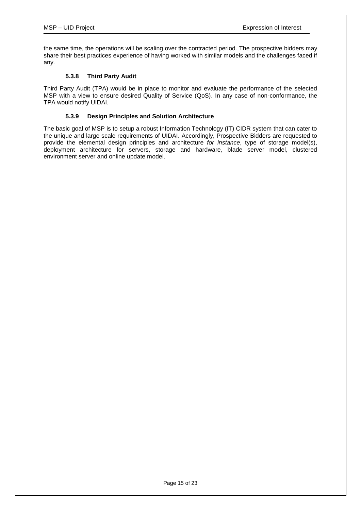the same time, the operations will be scaling over the contracted period. The prospective bidders may share their best practices experience of having worked with similar models and the challenges faced if any.

#### **5.3.8 Third Party Audit**

<span id="page-14-0"></span>Third Party Audit (TPA) would be in place to monitor and evaluate the performance of the selected MSP with a view to ensure desired Quality of Service (QoS). In any case of non-conformance, the TPA would notify UIDAI.

### **5.3.9 Design Principles and Solution Architecture**

<span id="page-14-1"></span>The basic goal of MSP is to setup a robust Information Technology (IT) CIDR system that can cater to the unique and large scale requirements of UIDAI. Accordingly, Prospective Bidders are requested to provide the elemental design principles and architecture *for instance*, type of storage model(s), deployment architecture for servers, storage and hardware, blade server model, clustered environment server and online update model.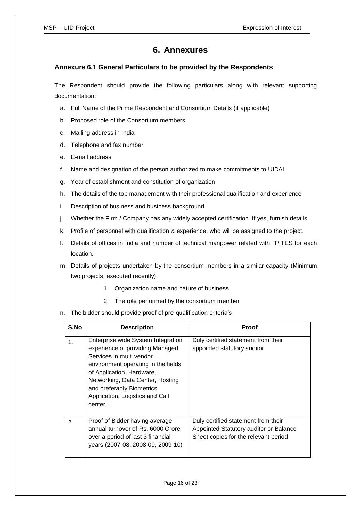# **6. Annexures**

#### <span id="page-15-1"></span><span id="page-15-0"></span>**Annexure 6.1 General Particulars to be provided by the Respondents**

The Respondent should provide the following particulars along with relevant supporting documentation:

- a. Full Name of the Prime Respondent and Consortium Details (if applicable)
- b. Proposed role of the Consortium members
- c. Mailing address in India
- d. Telephone and fax number
- e. E-mail address
- f. Name and designation of the person authorized to make commitments to UIDAI
- g. Year of establishment and constitution of organization
- h. The details of the top management with their professional qualification and experience
- i. Description of business and business background
- j. Whether the Firm / Company has any widely accepted certification. If yes, furnish details.
- k. Profile of personnel with qualification & experience, who will be assigned to the project.
- l. Details of offices in India and number of technical manpower related with IT/ITES for each location.
- m. Details of projects undertaken by the consortium members in a similar capacity (Minimum two projects, executed recently):
	- 1. Organization name and nature of business
	- 2. The role performed by the consortium member
- <span id="page-15-2"></span>n. The bidder should provide proof of pre-qualification criteria"s

| S.No | <b>Description</b>                                                                                                                                                                                                                                                                  | Proof                                                                                                                 |
|------|-------------------------------------------------------------------------------------------------------------------------------------------------------------------------------------------------------------------------------------------------------------------------------------|-----------------------------------------------------------------------------------------------------------------------|
| 1.   | Enterprise wide System Integration<br>experience of providing Managed<br>Services in multi vendor<br>environment operating in the fields<br>of Application, Hardware,<br>Networking, Data Center, Hosting<br>and preferably Biometrics<br>Application, Logistics and Call<br>center | Duly certified statement from their<br>appointed statutory auditor                                                    |
| 2.   | Proof of Bidder having average<br>annual turnover of Rs. 6000 Crore,<br>over a period of last 3 financial<br>years (2007-08, 2008-09, 2009-10)                                                                                                                                      | Duly certified statement from their<br>Appointed Statutory auditor or Balance<br>Sheet copies for the relevant period |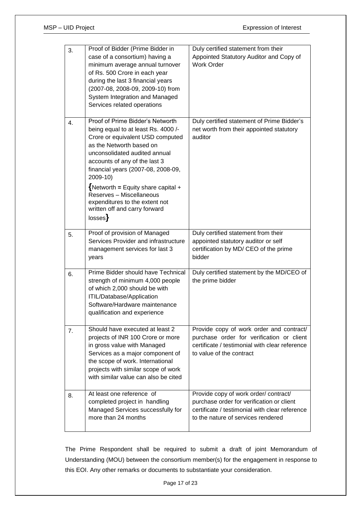| 3. | Proof of Bidder (Prime Bidder in<br>case of a consortium) having a<br>minimum average annual turnover<br>of Rs. 500 Crore in each year<br>during the last 3 financial years<br>(2007-08, 2008-09, 2009-10) from<br>System Integration and Managed<br>Services related operations                                                                                                                               | Duly certified statement from their<br>Appointed Statutory Auditor and Copy of<br><b>Work Order</b>                                                                       |
|----|----------------------------------------------------------------------------------------------------------------------------------------------------------------------------------------------------------------------------------------------------------------------------------------------------------------------------------------------------------------------------------------------------------------|---------------------------------------------------------------------------------------------------------------------------------------------------------------------------|
| 4. | Proof of Prime Bidder's Networth<br>being equal to at least Rs. 4000 /-<br>Crore or equivalent USD computed<br>as the Networth based on<br>unconsolidated audited annual<br>accounts of any of the last 3<br>financial years (2007-08, 2008-09,<br>2009-10)<br>$\{$ Networth = Equity share capital +<br>Reserves - Miscellaneous<br>expenditures to the extent not<br>written off and carry forward<br>losses | Duly certified statement of Prime Bidder's<br>net worth from their appointed statutory<br>auditor                                                                         |
| 5. | Proof of provision of Managed<br>Services Provider and infrastructure<br>management services for last 3<br>years                                                                                                                                                                                                                                                                                               | Duly certified statement from their<br>appointed statutory auditor or self<br>certification by MD/ CEO of the prime<br>bidder                                             |
| 6. | Prime Bidder should have Technical<br>strength of minimum 4,000 people<br>of which 2,000 should be with<br>ITIL/Database/Application<br>Software/Hardware maintenance<br>qualification and experience                                                                                                                                                                                                          | Duly certified statement by the MD/CEO of<br>the prime bidder                                                                                                             |
| 7. | Should have executed at least 2<br>projects of INR 100 Crore or more<br>in gross value with Managed<br>Services as a major component of<br>the scope of work. International<br>projects with similar scope of work<br>with similar value can also be cited                                                                                                                                                     | Provide copy of work order and contract/<br>purchase order for verification or client<br>certificate / testimonial with clear reference<br>to value of the contract       |
| 8. | At least one reference of<br>completed project in handling<br>Managed Services successfully for<br>more than 24 months                                                                                                                                                                                                                                                                                         | Provide copy of work order/contract/<br>purchase order for verification or client<br>certificate / testimonial with clear reference<br>to the nature of services rendered |

The Prime Respondent shall be required to submit a draft of joint Memorandum of Understanding (MOU) between the consortium member(s) for the engagement in response to this EOI. Any other remarks or documents to substantiate your consideration.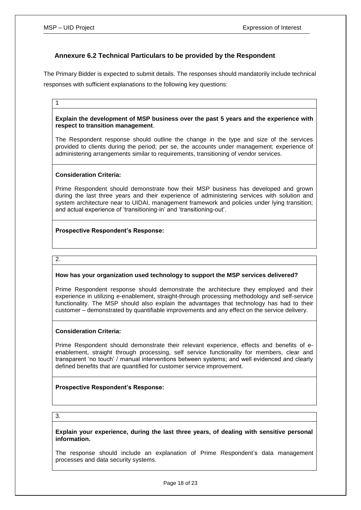1

## <span id="page-17-0"></span>**Annexure 6.2 Technical Particulars to be provided by the Respondent**

The Primary Bidder is expected to submit details. The responses should mandatorily include technical responses with sufficient explanations to the following key questions:

#### **Explain the development of MSP business over the past 5 years and the experience with respect to transition management**.

The Respondent response should outline the change in the type and size of the services provided to clients during the period; per se, the accounts under management; experience of administering arrangements similar to requirements, transitioning of vendor services.

#### **Consideration Criteria:**

Prime Respondent should demonstrate how their MSP business has developed and grown during the last three years and their experience of administering services with solution and system architecture near to UIDAI, management framework and policies under lying transition; and actual experience of "transitioning-in" and "transitioning-out".

#### **Prospective Respondent's Response:**

2.

#### **How has your organization used technology to support the MSP services delivered?**

Prime Respondent response should demonstrate the architecture they employed and their experience in utilizing e-enablement, straight-through processing methodology and self-service functionality. The MSP should also explain the advantages that technology has had to their customer – demonstrated by quantifiable improvements and any effect on the service delivery.

#### **Consideration Criteria:**

Prime Respondent should demonstrate their relevant experience, effects and benefits of eenablement, straight through processing, self service functionality for members, clear and transparent "no touch" / manual interventions between systems; and well evidenced and clearly defined benefits that are quantified for customer service improvement.

#### **Prospective Respondent's Response:**

3.

**Explain your experience, during the last three years, of dealing with sensitive personal information.**

The response should include an explanation of Prime Respondent"s data management processes and data security systems.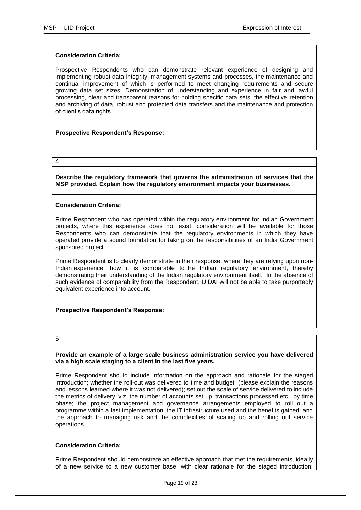#### **Consideration Criteria:**

Prospective Respondents who can demonstrate relevant experience of designing and implementing robust data integrity, management systems and processes, the maintenance and continual improvement of which is performed to meet changing requirements and secure growing data set sizes. Demonstration of understanding and experience in fair and lawful processing, clear and transparent reasons for holding specific data sets, the effective retention and archiving of data, robust and protected data transfers and the maintenance and protection of client"s data rights.

#### **Prospective Respondent's Response:**

#### $\overline{A}$

**Describe the regulatory framework that governs the administration of services that the MSP provided. Explain how the regulatory environment impacts your businesses.**

#### **Consideration Criteria:**

Prime Respondent who has operated within the regulatory environment for Indian Government projects, where this experience does not exist, consideration will be available for those Respondents who can demonstrate that the regulatory environments in which they have operated provide a sound foundation for taking on the responsibilities of an India Government sponsored project.

Prime Respondent is to clearly demonstrate in their response, where they are relying upon non-Indian experience, how it is comparable to the Indian regulatory environment, thereby demonstrating their understanding of the Indian regulatory environment itself. In the absence of such evidence of comparability from the Respondent, UIDAI will not be able to take purportedly equivalent experience into account.

#### **Prospective Respondent's Response:**

5

#### **Provide an example of a large scale business administration service you have delivered via a high scale staging to a client in the last five years.**

Prime Respondent should include information on the approach and rationale for the staged introduction; whether the roll-out was delivered to time and budget (please explain the reasons and lessons learned where it was not delivered); set out the scale of service delivered to include the metrics of delivery, viz. the number of accounts set up, transactions processed etc., by time phase; the project management and governance arrangements employed to roll out a programme within a fast implementation; the IT infrastructure used and the benefits gained; and the approach to managing risk and the complexities of scaling up and rolling out service operations.

#### **Consideration Criteria:**

Prime Respondent should demonstrate an effective approach that met the requirements, ideally of a new service to a new customer base, with clear rationale for the staged introduction;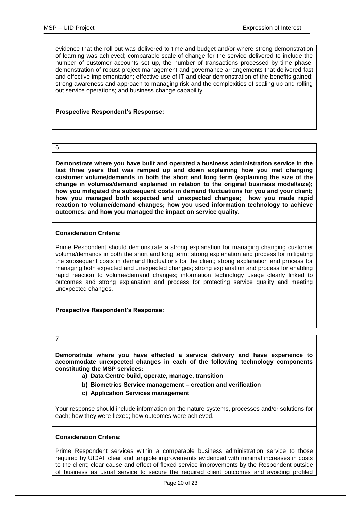evidence that the roll out was delivered to time and budget and/or where strong demonstration of learning was achieved; comparable scale of change for the service delivered to include the number of customer accounts set up, the number of transactions processed by time phase; demonstration of robust project management and governance arrangements that delivered fast and effective implementation; effective use of IT and clear demonstration of the benefits gained; strong awareness and approach to managing risk and the complexities of scaling up and rolling out service operations; and business change capability.

#### **Prospective Respondent's Response:**

6

**Demonstrate where you have built and operated a business administration service in the last three years that was ramped up and down explaining how you met changing customer volume/demands in both the short and long term (explaining the size of the change in volumes/demand explained in relation to the original business model/size); how you mitigated the subsequent costs in demand fluctuations for you and your client; how you managed both expected and unexpected changes; how you made rapid reaction to volume/demand changes; how you used information technology to achieve outcomes; and how you managed the impact on service quality.**

#### **Consideration Criteria:**

Prime Respondent should demonstrate a strong explanation for managing changing customer volume/demands in both the short and long term; strong explanation and process for mitigating the subsequent costs in demand fluctuations for the client; strong explanation and process for managing both expected and unexpected changes; strong explanation and process for enabling rapid reaction to volume/demand changes; information technology usage clearly linked to outcomes and strong explanation and process for protecting service quality and meeting unexpected changes.

#### **Prospective Respondent's Response:**

7

**Demonstrate where you have effected a service delivery and have experience to accommodate unexpected changes in each of the following technology components constituting the MSP services:**

- **a) Data Centre build, operate, manage, transition**
- **b) Biometrics Service management – creation and verification**
- **c) Application Services management**

Your response should include information on the nature systems, processes and/or solutions for each; how they were flexed; how outcomes were achieved.

#### **Consideration Criteria:**

Prime Respondent services within a comparable business administration service to those required by UIDAI; clear and tangible improvements evidenced with minimal increases in costs to the client; clear cause and effect of flexed service improvements by the Respondent outside of business as usual service to secure the required client outcomes and avoiding profiled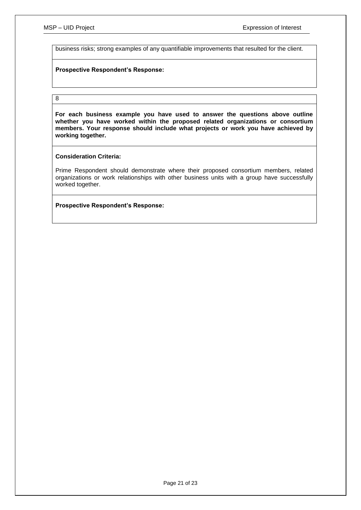business risks; strong examples of any quantifiable improvements that resulted for the client.

#### **Prospective Respondent's Response:**

8

**For each business example you have used to answer the questions above outline whether you have worked within the proposed related organizations or consortium members. Your response should include what projects or work you have achieved by working together.**

#### **Consideration Criteria:**

Prime Respondent should demonstrate where their proposed consortium members, related organizations or work relationships with other business units with a group have successfully worked together.

**Prospective Respondent's Response:**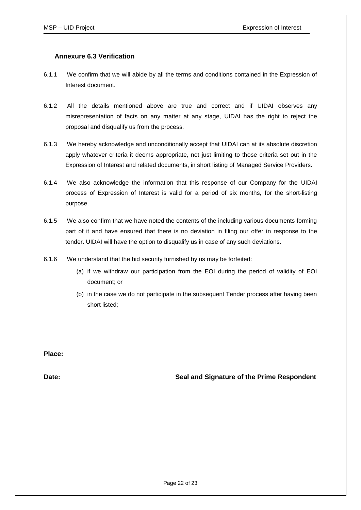### <span id="page-21-0"></span>**Annexure 6.3 Verification**

- 6.1.1 We confirm that we will abide by all the terms and conditions contained in the Expression of Interest document.
- 6.1.2 All the details mentioned above are true and correct and if UIDAI observes any misrepresentation of facts on any matter at any stage, UIDAI has the right to reject the proposal and disqualify us from the process.
- 6.1.3 We hereby acknowledge and unconditionally accept that UIDAI can at its absolute discretion apply whatever criteria it deems appropriate, not just limiting to those criteria set out in the Expression of Interest and related documents, in short listing of Managed Service Providers.
- 6.1.4 We also acknowledge the information that this response of our Company for the UIDAI process of Expression of Interest is valid for a period of six months, for the short-listing purpose.
- 6.1.5 We also confirm that we have noted the contents of the including various documents forming part of it and have ensured that there is no deviation in filing our offer in response to the tender. UIDAI will have the option to disqualify us in case of any such deviations.
- 6.1.6 We understand that the bid security furnished by us may be forfeited:
	- (a) if we withdraw our participation from the EOI during the period of validity of EOI document; or
	- (b) in the case we do not participate in the subsequent Tender process after having been short listed;

**Place:**

**Date: Seal and Signature of the Prime Respondent**